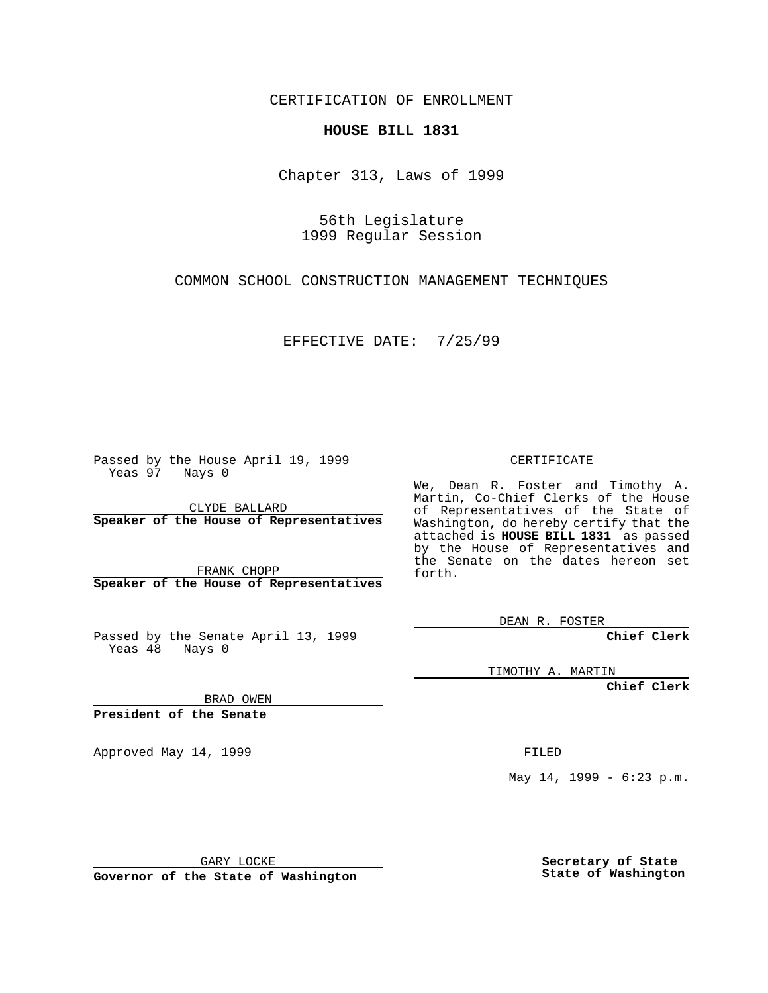CERTIFICATION OF ENROLLMENT

## **HOUSE BILL 1831**

Chapter 313, Laws of 1999

56th Legislature 1999 Regular Session

COMMON SCHOOL CONSTRUCTION MANAGEMENT TECHNIQUES

EFFECTIVE DATE: 7/25/99

Passed by the House April 19, 1999 Yeas 97 Nays 0

CLYDE BALLARD **Speaker of the House of Representatives**

FRANK CHOPP **Speaker of the House of Representatives**

Passed by the Senate April 13, 1999 Yeas 48 Nays 0

CERTIFICATE

We, Dean R. Foster and Timothy A. Martin, Co-Chief Clerks of the House of Representatives of the State of Washington, do hereby certify that the attached is **HOUSE BILL 1831** as passed by the House of Representatives and the Senate on the dates hereon set forth.

DEAN R. FOSTER

**Chief Clerk**

TIMOTHY A. MARTIN

**Chief Clerk**

BRAD OWEN

**President of the Senate**

Approved May 14, 1999 **FILED** 

May 14, 1999 - 6:23 p.m.

GARY LOCKE

**Governor of the State of Washington**

**Secretary of State State of Washington**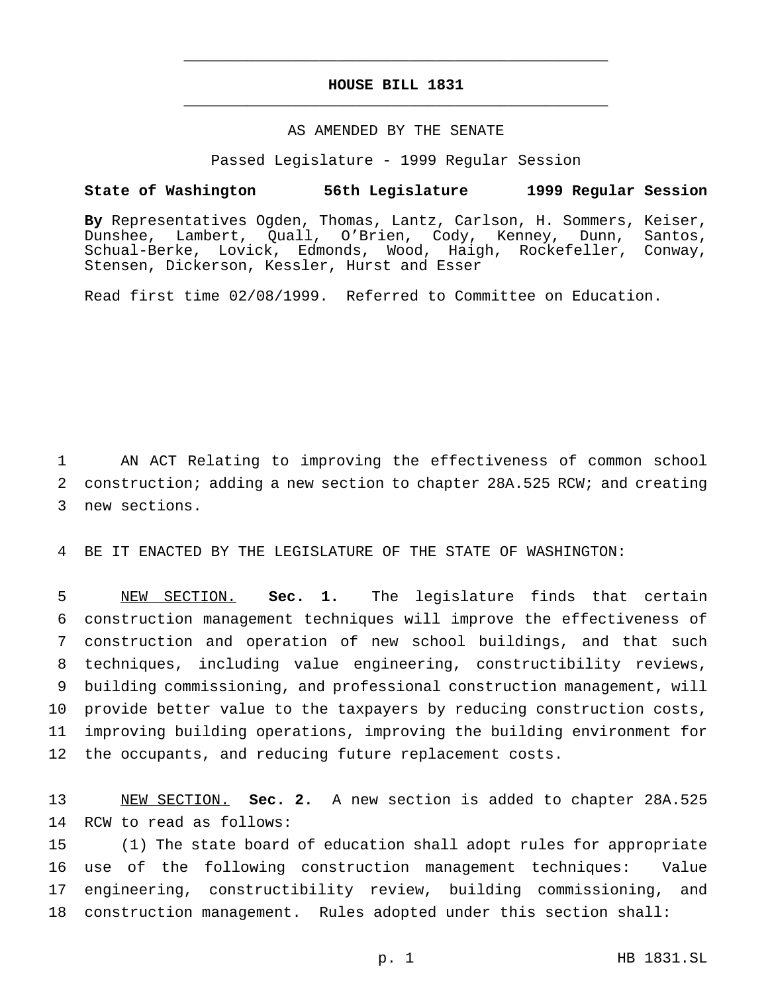## **HOUSE BILL 1831** \_\_\_\_\_\_\_\_\_\_\_\_\_\_\_\_\_\_\_\_\_\_\_\_\_\_\_\_\_\_\_\_\_\_\_\_\_\_\_\_\_\_\_\_\_\_\_

\_\_\_\_\_\_\_\_\_\_\_\_\_\_\_\_\_\_\_\_\_\_\_\_\_\_\_\_\_\_\_\_\_\_\_\_\_\_\_\_\_\_\_\_\_\_\_

## AS AMENDED BY THE SENATE

Passed Legislature - 1999 Regular Session

## **State of Washington 56th Legislature 1999 Regular Session**

**By** Representatives Ogden, Thomas, Lantz, Carlson, H. Sommers, Keiser, Dunshee, Lambert, Quall, O'Brien, Cody, Kenney, Dunn, Santos, Schual-Berke, Lovick, Edmonds, Wood, Haigh, Rockefeller, Conway, Stensen, Dickerson, Kessler, Hurst and Esser

Read first time 02/08/1999. Referred to Committee on Education.

1 AN ACT Relating to improving the effectiveness of common school 2 construction; adding a new section to chapter 28A.525 RCW; and creating 3 new sections.

4 BE IT ENACTED BY THE LEGISLATURE OF THE STATE OF WASHINGTON:

 NEW SECTION. **Sec. 1.** The legislature finds that certain construction management techniques will improve the effectiveness of construction and operation of new school buildings, and that such techniques, including value engineering, constructibility reviews, building commissioning, and professional construction management, will provide better value to the taxpayers by reducing construction costs, improving building operations, improving the building environment for the occupants, and reducing future replacement costs.

13 NEW SECTION. **Sec. 2.** A new section is added to chapter 28A.525 14 RCW to read as follows:

 (1) The state board of education shall adopt rules for appropriate use of the following construction management techniques: Value engineering, constructibility review, building commissioning, and construction management. Rules adopted under this section shall: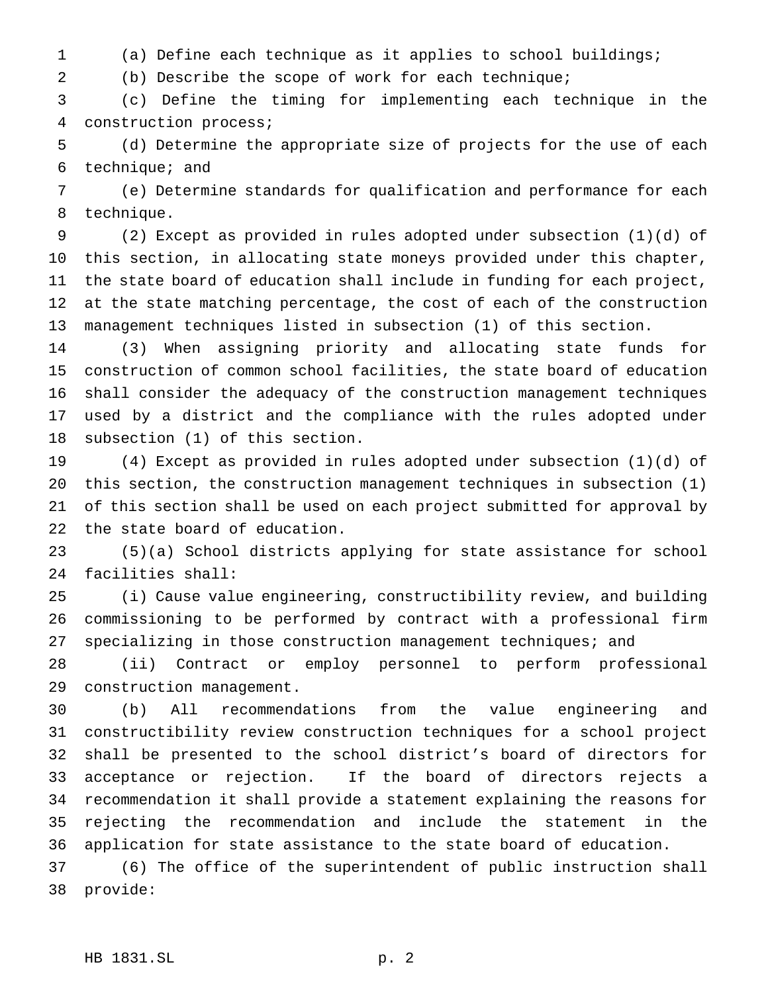(a) Define each technique as it applies to school buildings;

(b) Describe the scope of work for each technique;

 (c) Define the timing for implementing each technique in the construction process;

 (d) Determine the appropriate size of projects for the use of each technique; and

 (e) Determine standards for qualification and performance for each technique.

 (2) Except as provided in rules adopted under subsection (1)(d) of this section, in allocating state moneys provided under this chapter, the state board of education shall include in funding for each project, at the state matching percentage, the cost of each of the construction management techniques listed in subsection (1) of this section.

 (3) When assigning priority and allocating state funds for construction of common school facilities, the state board of education shall consider the adequacy of the construction management techniques used by a district and the compliance with the rules adopted under subsection (1) of this section.

 (4) Except as provided in rules adopted under subsection (1)(d) of this section, the construction management techniques in subsection (1) of this section shall be used on each project submitted for approval by the state board of education.

 (5)(a) School districts applying for state assistance for school facilities shall:

 (i) Cause value engineering, constructibility review, and building commissioning to be performed by contract with a professional firm specializing in those construction management techniques; and

 (ii) Contract or employ personnel to perform professional construction management.

 (b) All recommendations from the value engineering and constructibility review construction techniques for a school project shall be presented to the school district's board of directors for acceptance or rejection. If the board of directors rejects a recommendation it shall provide a statement explaining the reasons for rejecting the recommendation and include the statement in the application for state assistance to the state board of education.

 (6) The office of the superintendent of public instruction shall provide: